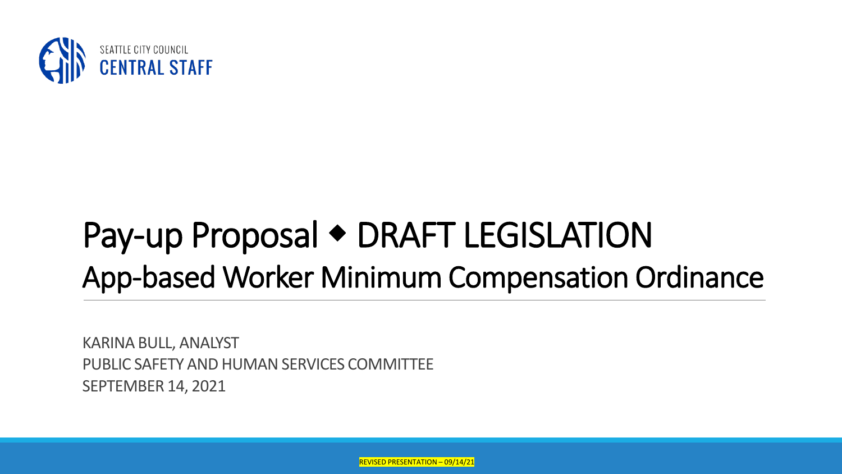

## Pay-up Proposal • DRAFT LEGISLATION App-based Worker Minimum Compensation Ordinance

KARINA BULL, ANALYST PUBLIC SAFETY AND HUMAN SERVICES COMMITTEE SEPTEMBER 14, 2021

REVISED PRESENTATION – 09/14/21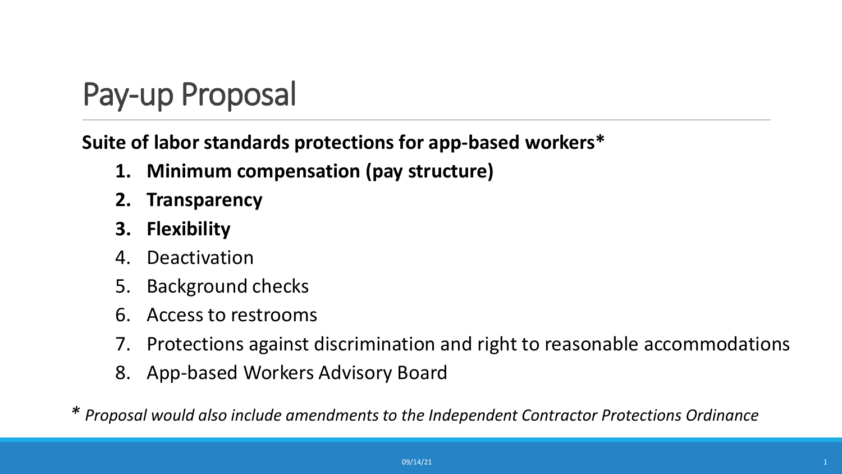### Pay-up Proposal

#### **Suite of labor standards protections for app-based workers\***

- **1. Minimum compensation (pay structure)**
- **2. Transparency**
- **3. Flexibility**
- 4. Deactivation
- 5. Background checks
- 6. Access to restrooms
- 7. Protections against discrimination and right to reasonable accommodations
- 8. App-based Workers Advisory Board

*\* Proposal would also include amendments to the Independent Contractor Protections Ordinance*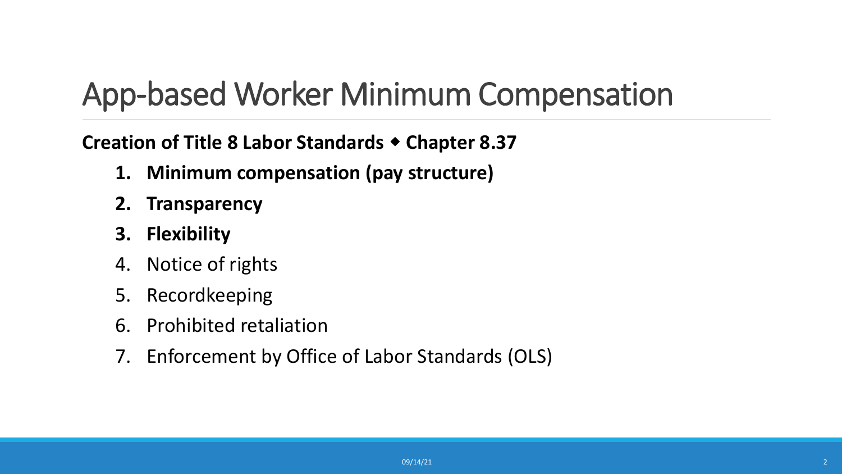### App-based Worker Minimum Compensation

#### **Creation of Title 8 Labor Standards Chapter 8.37**

- **1. Minimum compensation (pay structure)**
- **2. Transparency**
- **3. Flexibility**
- 4. Notice of rights
- 5. Recordkeeping
- 6. Prohibited retaliation
- 7. Enforcement by Office of Labor Standards (OLS)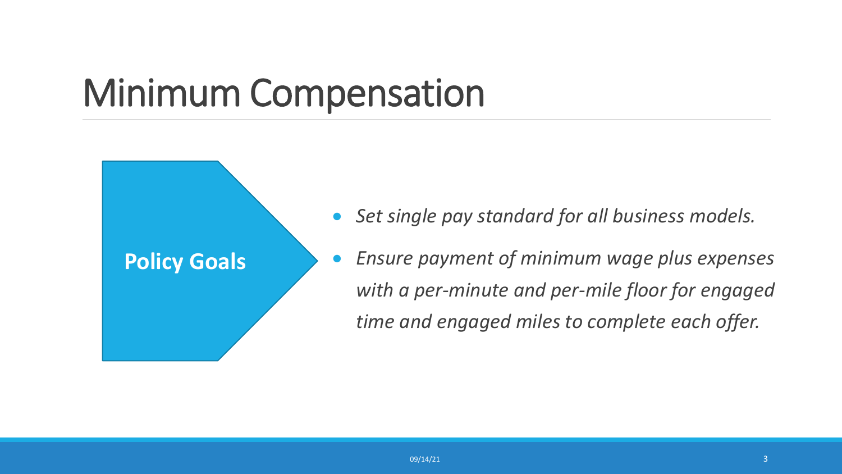## Minimum Compensation

**Policy Goals**



#### • *Ensure payment of minimum wage plus expenses with a per-minute and per-mile floor for engaged time and engaged miles to complete each offer.*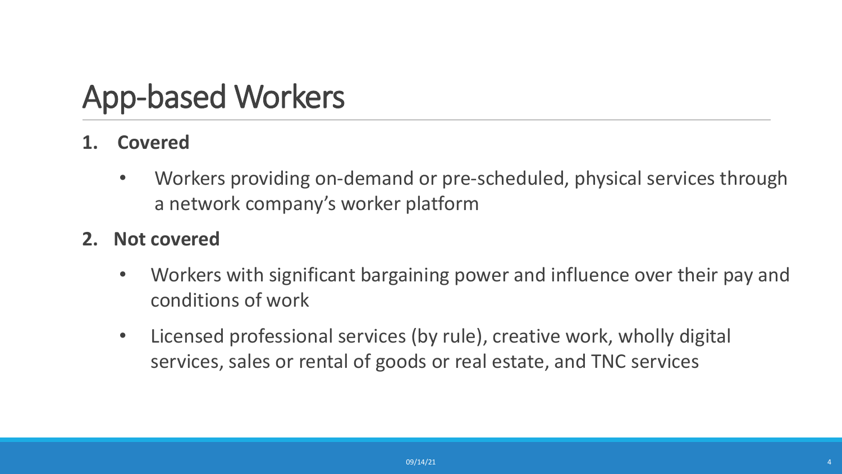#### App-based Workers

#### **1. Covered**

- Workers providing on-demand or pre-scheduled, physical services through a network company's worker platform
- **2. Not covered**
	- Workers with significant bargaining power and influence over their pay and conditions of work
	- Licensed professional services (by rule), creative work, wholly digital services, sales or rental of goods or real estate, and TNC services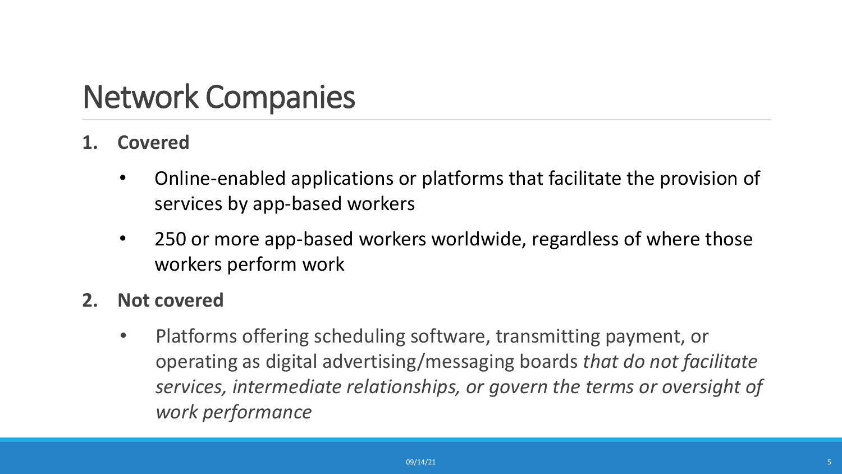#### Network Companies

- **1. Covered**
	- Online-enabled applications or platforms that facilitate the provision of services by app-based workers
	- 250 or more app-based workers worldwide, regardless of where those workers perform work
- **2. Not covered**
	- Platforms offering scheduling software, transmitting payment, or operating as digital advertising/messaging boards *that do not facilitate services, intermediate relationships, or govern the terms or oversight of work performance*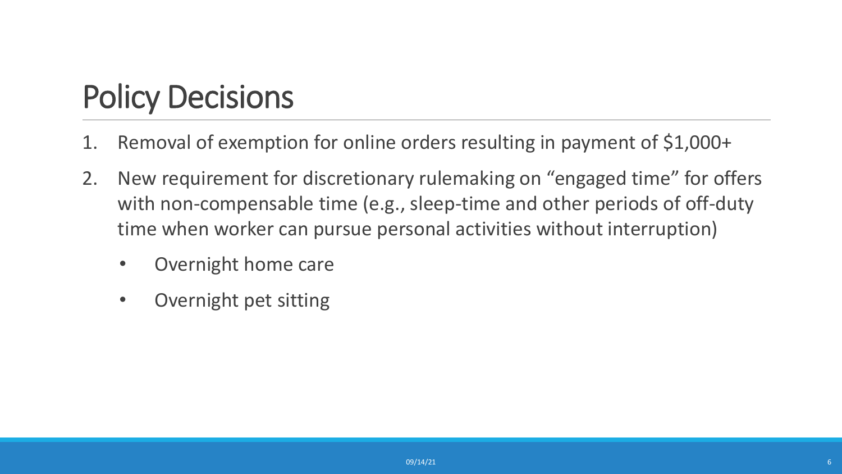#### Policy Decisions

- 1. Removal of exemption for online orders resulting in payment of \$1,000+
- 2. New requirement for discretionary rulemaking on "engaged time" for offers with non-compensable time (e.g., sleep-time and other periods of off-duty time when worker can pursue personal activities without interruption)
	- Overnight home care
	- Overnight pet sitting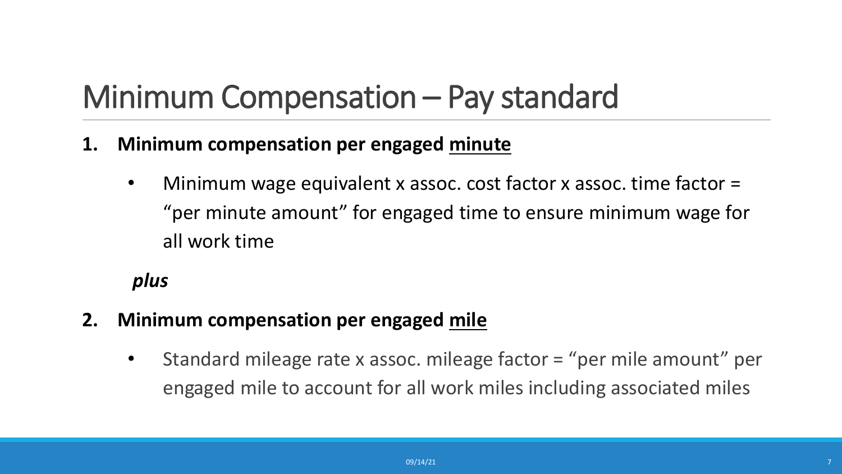### Minimum Compensation – Pay standard

- **1. Minimum compensation per engaged minute**
	- Minimum wage equivalent x assoc. cost factor x assoc. time factor = "per minute amount" for engaged time to ensure minimum wage for all work time

#### *plus*

- **2. Minimum compensation per engaged mile**
	- Standard mileage rate x assoc. mileage factor = "per mile amount" per engaged mile to account for all work miles including associated miles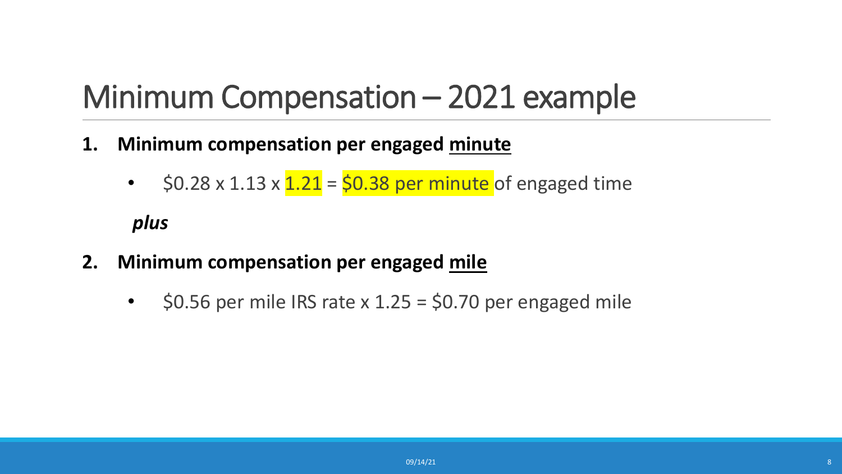### Minimum Compensation – 2021 example

- **1. Minimum compensation per engaged minute**
	- $$0.28 \times 1.13 \times 1.21 = $0.38$  per minute of engaged time

#### *plus*

- **2. Minimum compensation per engaged mile**
	- $\div$  \$0.56 per mile IRS rate x 1.25 = \$0.70 per engaged mile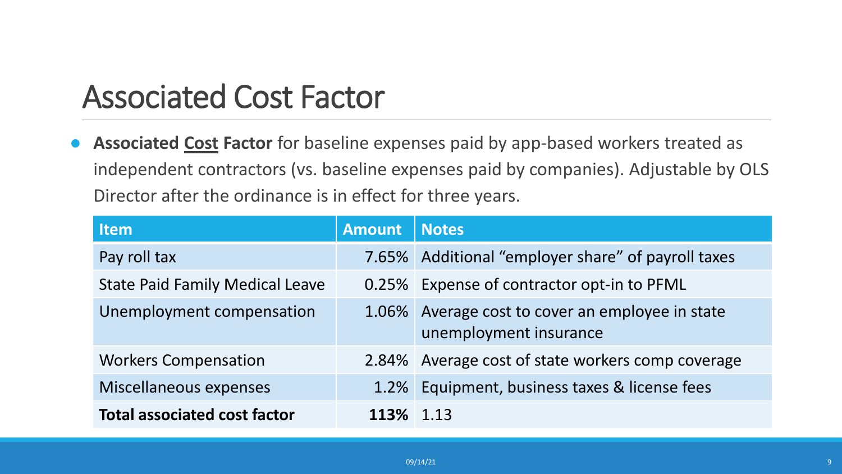#### Associated Cost Factor

● **Associated Cost Factor** for baseline expenses paid by app-based workers treated as independent contractors (vs. baseline expenses paid by companies). Adjustable by OLS Director after the ordinance is in effect for three years.

| ltem                                   | <b>Amount</b> | <b>Notes</b>                                                         |
|----------------------------------------|---------------|----------------------------------------------------------------------|
| Pay roll tax                           |               | 7.65% Additional "employer share" of payroll taxes                   |
| <b>State Paid Family Medical Leave</b> |               | 0.25% Expense of contractor opt-in to PFML                           |
| Unemployment compensation              | 1.06%         | Average cost to cover an employee in state<br>unemployment insurance |
| <b>Workers Compensation</b>            |               | 2.84% Average cost of state workers comp coverage                    |
| Miscellaneous expenses                 | 1.2%          | Equipment, business taxes & license fees                             |
| <b>Total associated cost factor</b>    | <b>113%</b>   | 1.13                                                                 |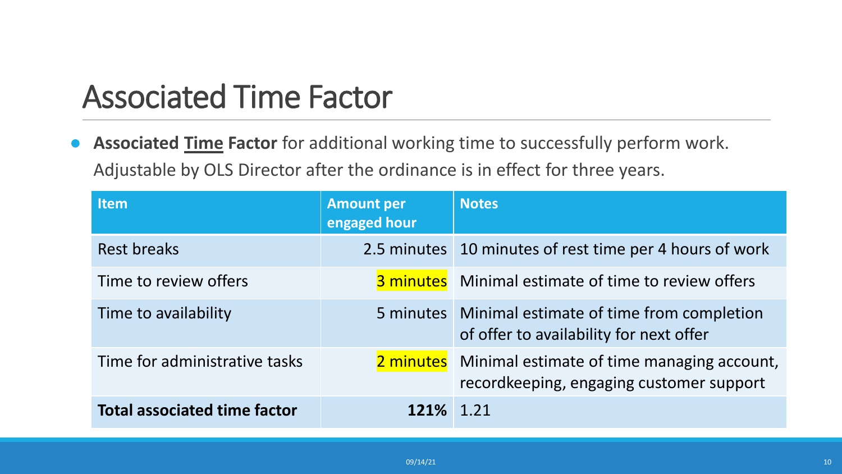#### Associated Time Factor

● **Associated Time Factor** for additional working time to successfully perform work. Adjustable by OLS Director after the ordinance is in effect for three years.

| <b>Item</b>                         | <b>Amount per</b><br>engaged hour | <b>Notes</b>                                                                                     |
|-------------------------------------|-----------------------------------|--------------------------------------------------------------------------------------------------|
| <b>Rest breaks</b>                  |                                   | 2.5 minutes 10 minutes of rest time per 4 hours of work                                          |
| Time to review offers               |                                   | <b>3 minutes</b> Minimal estimate of time to review offers                                       |
| Time to availability                |                                   | 5 minutes   Minimal estimate of time from completion<br>of offer to availability for next offer  |
| Time for administrative tasks       |                                   | 2 minutes Minimal estimate of time managing account,<br>recordkeeping, engaging customer support |
| <b>Total associated time factor</b> | 121% 1.21                         |                                                                                                  |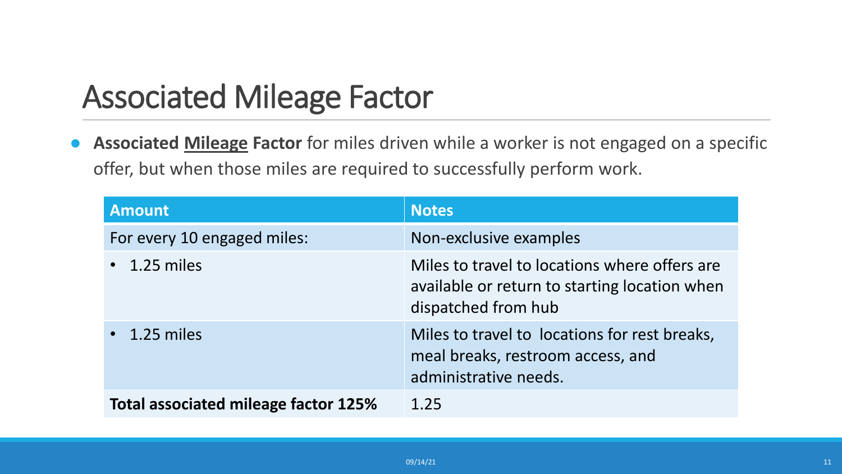#### Associated Mileage Factor

● **Associated Mileage Factor** for miles driven while a worker is not engaged on a specific offer, but when those miles are required to successfully perform work.

| <b>Amount</b>                               | <b>Notes</b>                                                                                                          |
|---------------------------------------------|-----------------------------------------------------------------------------------------------------------------------|
| For every 10 engaged miles:                 | Non-exclusive examples                                                                                                |
| $\cdot$ 1.25 miles                          | Miles to travel to locations where offers are<br>available or return to starting location when<br>dispatched from hub |
| $\cdot$ 1.25 miles                          | Miles to travel to locations for rest breaks,<br>meal breaks, restroom access, and<br>administrative needs.           |
| <b>Total associated mileage factor 125%</b> | 1.25                                                                                                                  |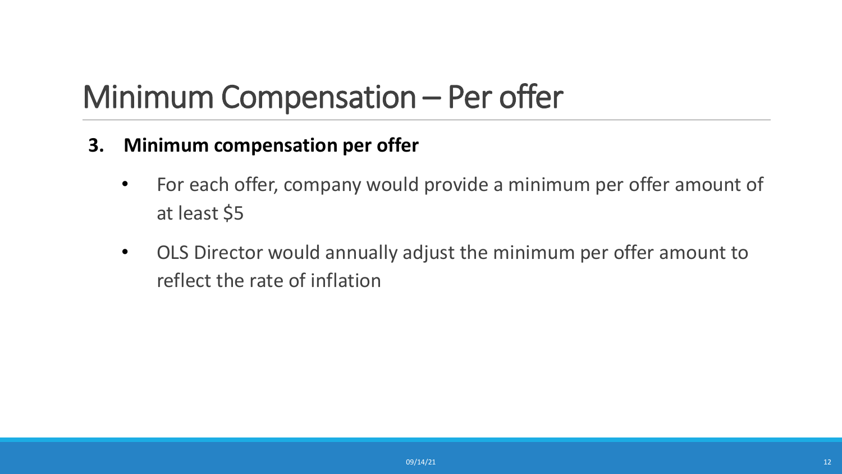#### Minimum Compensation – Per offer

- **3. Minimum compensation per offer**
	- For each offer, company would provide a minimum per offer amount of at least \$5
	- OLS Director would annually adjust the minimum per offer amount to reflect the rate of inflation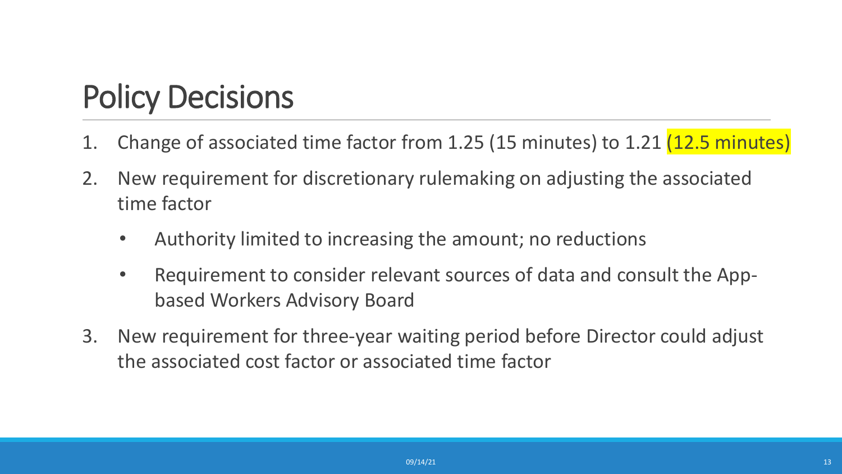#### Policy Decisions

- 1. Change of associated time factor from 1.25 (15 minutes) to 1.21 (12.5 minutes)
- 2. New requirement for discretionary rulemaking on adjusting the associated time factor
	- Authority limited to increasing the amount; no reductions
	- Requirement to consider relevant sources of data and consult the Appbased Workers Advisory Board
- 3. New requirement for three-year waiting period before Director could adjust the associated cost factor or associated time factor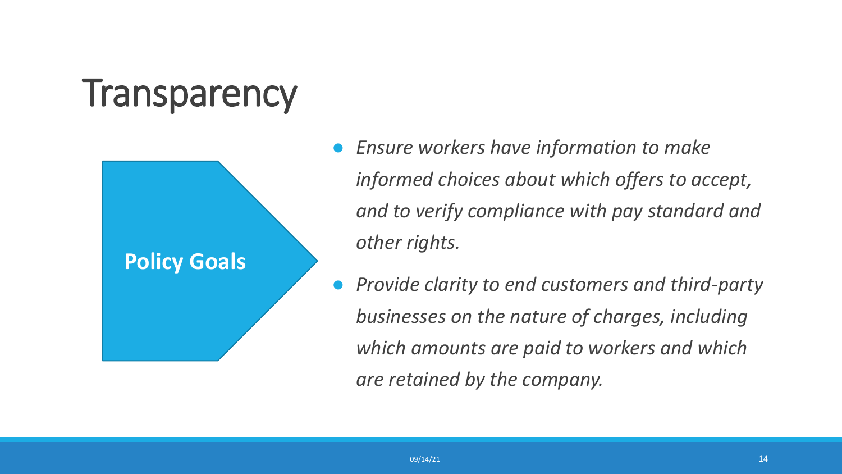## **Transparency**



- *Ensure workers have information to make informed choices about which offers to accept, and to verify compliance with pay standard and other rights.*
- *Provide clarity to end customers and third-party businesses on the nature of charges, including which amounts are paid to workers and which are retained by the company.*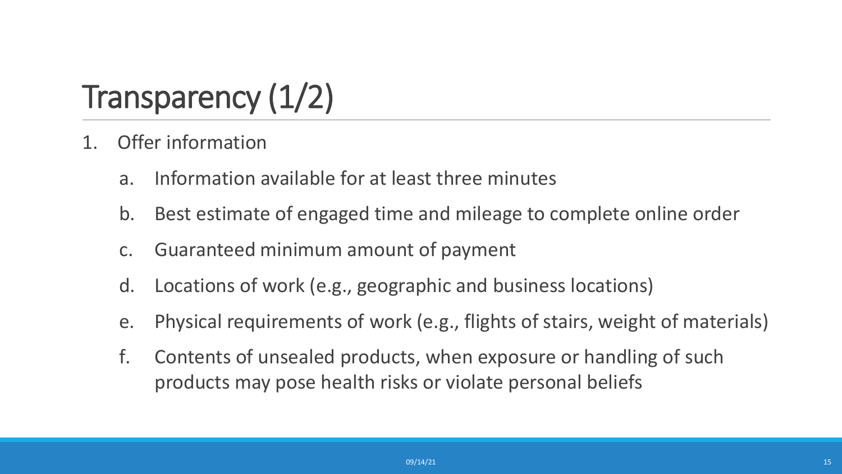## Transparency (1/2)

- 1. Offer information
	- a. Information available for at least three minutes
	- b. Best estimate of engaged time and mileage to complete online order
	- c. Guaranteed minimum amount of payment
	- d. Locations of work (e.g., geographic and business locations)
	- e. Physical requirements of work (e.g., flights of stairs, weight of materials)
	- f. Contents of unsealed products, when exposure or handling of such products may pose health risks or violate personal beliefs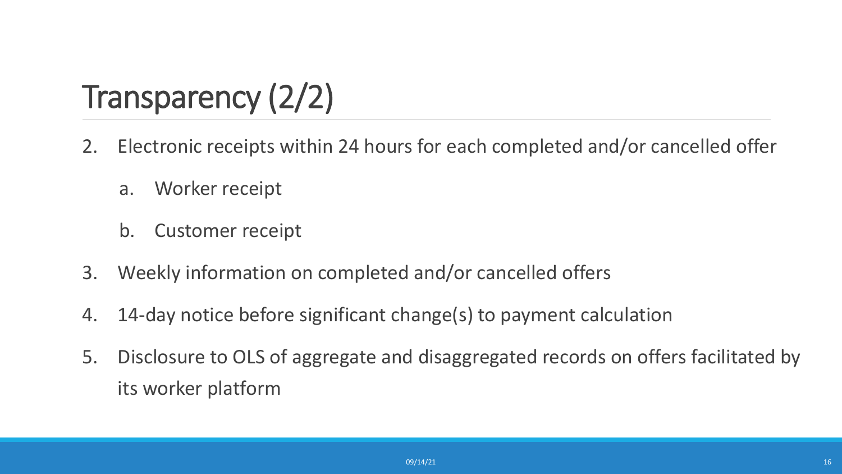## Transparency (2/2)

- 2. Electronic receipts within 24 hours for each completed and/or cancelled offer
	- a. Worker receipt
	- b. Customer receipt
- 3. Weekly information on completed and/or cancelled offers
- 4. 14-day notice before significant change(s) to payment calculation
- 5. Disclosure to OLS of aggregate and disaggregated records on offers facilitated by its worker platform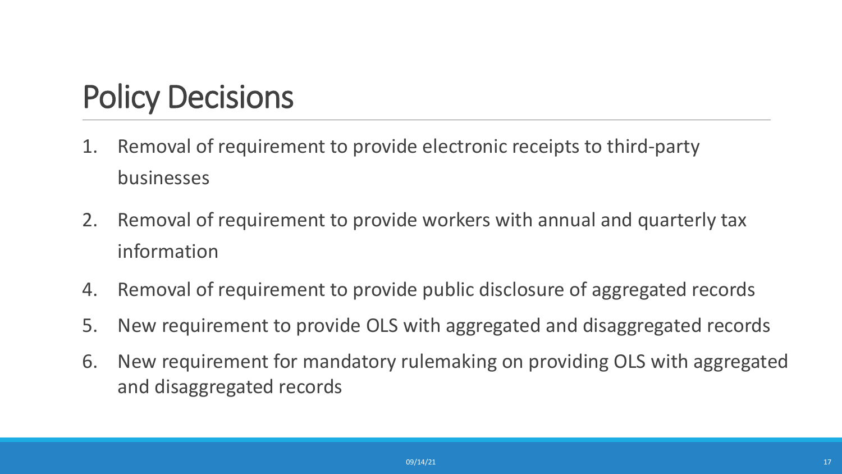#### Policy Decisions

- 1. Removal of requirement to provide electronic receipts to third-party businesses
- 2. Removal of requirement to provide workers with annual and quarterly tax information
- 4. Removal of requirement to provide public disclosure of aggregated records
- 5. New requirement to provide OLS with aggregated and disaggregated records
- 6. New requirement for mandatory rulemaking on providing OLS with aggregated and disaggregated records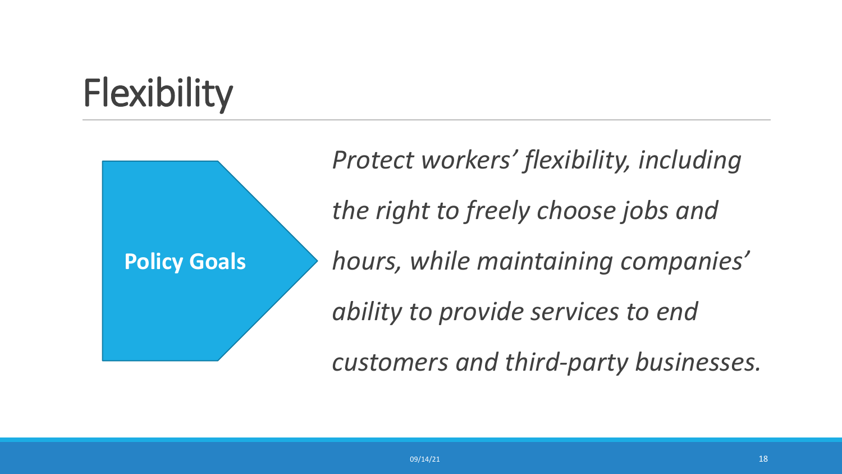## **Flexibility**

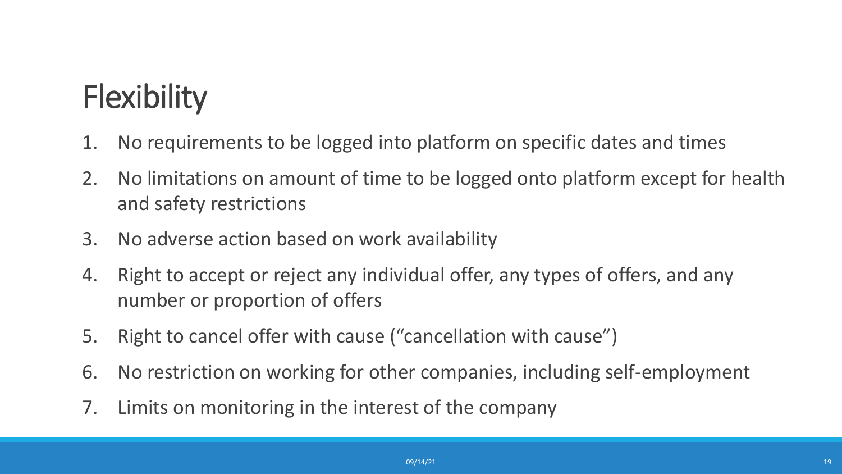## **Flexibility**

- 1. No requirements to be logged into platform on specific dates and times
- 2. No limitations on amount of time to be logged onto platform except for health and safety restrictions
- 3. No adverse action based on work availability
- 4. Right to accept or reject any individual offer, any types of offers, and any number or proportion of offers
- 5. Right to cancel offer with cause ("cancellation with cause")
- 6. No restriction on working for other companies, including self-employment
- 7. Limits on monitoring in the interest of the company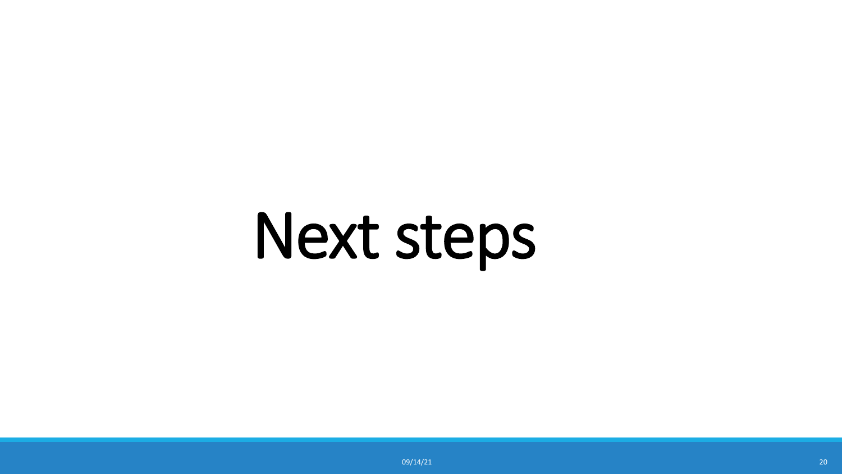# Next steps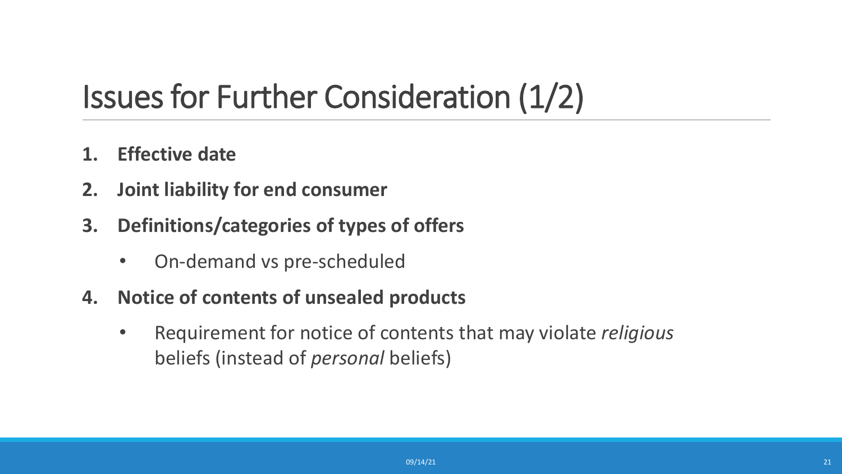#### Issues for Further Consideration (1/2)

- **1. Effective date**
- **2. Joint liability for end consumer**
- **3. Definitions/categories of types of offers**
	- On-demand vs pre-scheduled
- **4. Notice of contents of unsealed products** 
	- Requirement for notice of contents that may violate *religious* beliefs (instead of *personal* beliefs)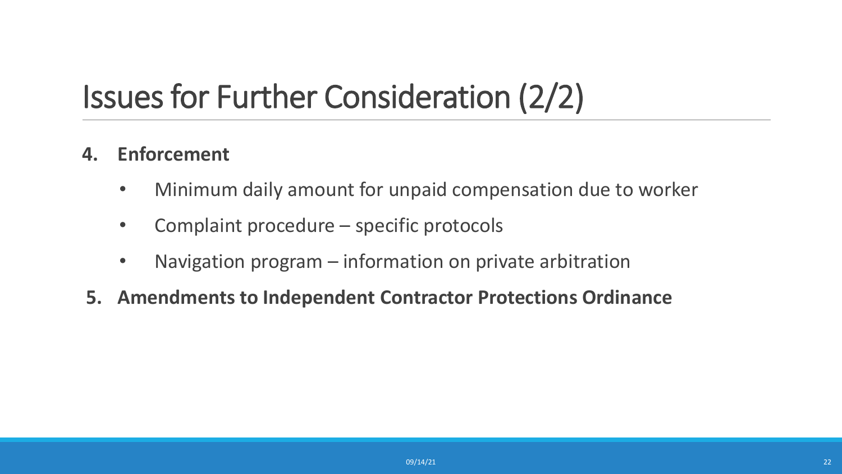### Issues for Further Consideration (2/2)

#### **4. Enforcement**

- Minimum daily amount for unpaid compensation due to worker
- Complaint procedure specific protocols
- Navigation program information on private arbitration
- **5. Amendments to Independent Contractor Protections Ordinance**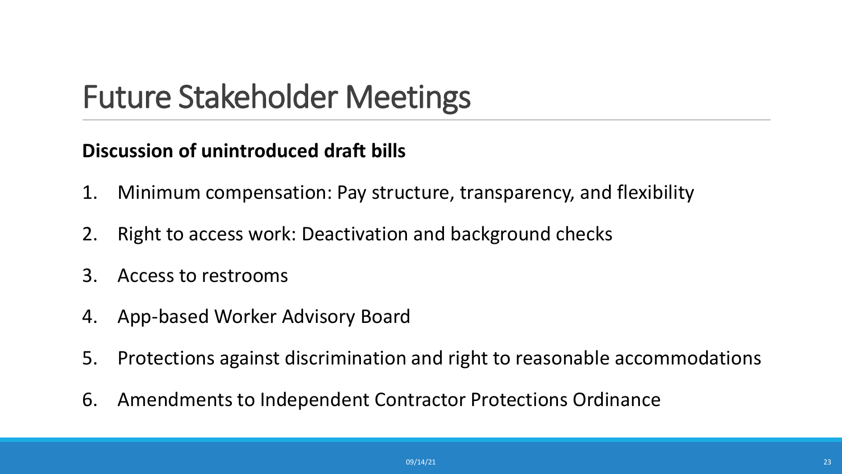#### Future Stakeholder Meetings

#### **Discussion of unintroduced draft bills**

- 1. Minimum compensation: Pay structure, transparency, and flexibility
- 2. Right to access work: Deactivation and background checks
- 3. Access to restrooms
- 4. App-based Worker Advisory Board
- 5. Protections against discrimination and right to reasonable accommodations
- 6. Amendments to Independent Contractor Protections Ordinance